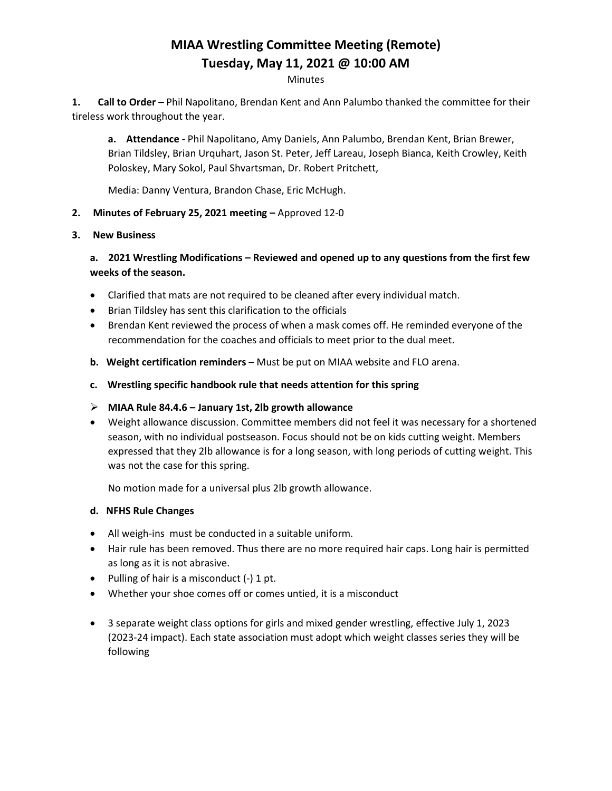# **MIAA Wrestling Committee Meeting (Remote) Tuesday, May 11, 2021 @ 10:00 AM**

#### **Minutes**

**1. Call to Order –** Phil Napolitano, Brendan Kent and Ann Palumbo thanked the committee for their tireless work throughout the year.

**a. Attendance -** Phil Napolitano, Amy Daniels, Ann Palumbo, Brendan Kent, Brian Brewer, Brian Tildsley, Brian Urquhart, Jason St. Peter, Jeff Lareau, Joseph Bianca, Keith Crowley, Keith Poloskey, Mary Sokol, Paul Shvartsman, Dr. Robert Pritchett,

Media: Danny Ventura, Brandon Chase, Eric McHugh.

## **2. Minutes of February 25, 2021 meeting –** Approved 12-0

## **3. New Business**

**a. 2021 Wrestling Modifications – Reviewed and opened up to any questions from the first few weeks of the season.**

- Clarified that mats are not required to be cleaned after every individual match.
- Brian Tildsley has sent this clarification to the officials
- Brendan Kent reviewed the process of when a mask comes off. He reminded everyone of the recommendation for the coaches and officials to meet prior to the dual meet.
- **b. Weight certification reminders –** Must be put on MIAA website and FLO arena.
- **c. Wrestling specific handbook rule that needs attention for this spring**

## **MIAA Rule 84.4.6 – January 1st, 2lb growth allowance**

 Weight allowance discussion. Committee members did not feel it was necessary for a shortened season, with no individual postseason. Focus should not be on kids cutting weight. Members expressed that they 2lb allowance is for a long season, with long periods of cutting weight. This was not the case for this spring.

No motion made for a universal plus 2lb growth allowance.

## **d. NFHS Rule Changes**

- All weigh-ins must be conducted in a suitable uniform.
- Hair rule has been removed. Thus there are no more required hair caps. Long hair is permitted as long as it is not abrasive.
- Pulling of hair is a misconduct  $(-)$  1 pt.
- Whether your shoe comes off or comes untied, it is a misconduct
- 3 separate weight class options for girls and mixed gender wrestling, effective July 1, 2023 (2023-24 impact). Each state association must adopt which weight classes series they will be following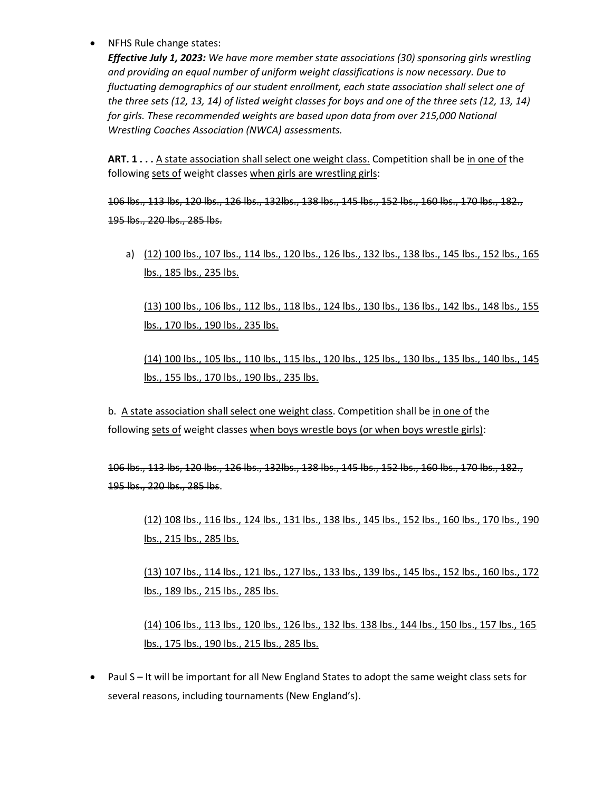• NFHS Rule change states:

*Effective July 1, 2023: We have more member state associations (30) sponsoring girls wrestling and providing an equal number of uniform weight classifications is now necessary. Due to fluctuating demographics of our student enrollment, each state association shall select one of the three sets (12, 13, 14) of listed weight classes for boys and one of the three sets (12, 13, 14) for girls. These recommended weights are based upon data from over 215,000 National Wrestling Coaches Association (NWCA) assessments.*

ART. 1 . . . A state association shall select one weight class. Competition shall be in one of the following sets of weight classes when girls are wrestling girls:

106 lbs., 113 lbs, 120 lbs., 126 lbs., 132lbs., 138 lbs., 145 lbs., 152 lbs., 160 lbs., 170 lbs., 182., 195 lbs., 220 lbs., 285 lbs.

a) (12) 100 lbs., 107 lbs., 114 lbs., 120 lbs., 126 lbs., 132 lbs., 138 lbs., 145 lbs., 152 lbs., 165 lbs., 185 lbs., 235 lbs.

(13) 100 lbs., 106 lbs., 112 lbs., 118 lbs., 124 lbs., 130 lbs., 136 lbs., 142 lbs., 148 lbs., 155 lbs., 170 lbs., 190 lbs., 235 lbs.

(14) 100 lbs., 105 lbs., 110 lbs., 115 lbs., 120 lbs., 125 lbs., 130 lbs., 135 lbs., 140 lbs., 145 lbs., 155 lbs., 170 lbs., 190 lbs., 235 lbs.

b. A state association shall select one weight class. Competition shall be in one of the following sets of weight classes when boys wrestle boys (or when boys wrestle girls):

106 lbs., 113 lbs, 120 lbs., 126 lbs., 132lbs., 138 lbs., 145 lbs., 152 lbs., 160 lbs., 170 lbs., 182., 195 lbs., 220 lbs., 285 lbs.

(12) 108 lbs., 116 lbs., 124 lbs., 131 lbs., 138 lbs., 145 lbs., 152 lbs., 160 lbs., 170 lbs., 190 lbs., 215 lbs., 285 lbs.

(13) 107 lbs., 114 lbs., 121 lbs., 127 lbs., 133 lbs., 139 lbs., 145 lbs., 152 lbs., 160 lbs., 172 lbs., 189 lbs., 215 lbs., 285 lbs.

(14) 106 lbs., 113 lbs., 120 lbs., 126 lbs., 132 lbs. 138 lbs., 144 lbs., 150 lbs., 157 lbs., 165 lbs., 175 lbs., 190 lbs., 215 lbs., 285 lbs.

• Paul S – It will be important for all New England States to adopt the same weight class sets for several reasons, including tournaments (New England's).